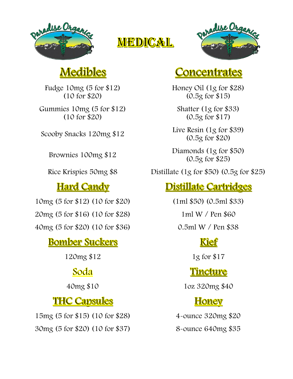

# **MEDICAL**



# **Medibles**

Fudge 10mg (5 for \$12) (10 for \$20)

Gummies 10mg (5 for \$12) (10 for \$20)

#### **Hard Candy**

10mg (5 for \$12) (10 for \$20) (1ml \$50) (0.5ml \$33)

20mg (5 for \$16) (10 for \$28) 1ml W / Pen \$60

40mg (5 for \$20) (10 for \$36) 0.5ml W / Pen \$38

### **Bomber Suckers**

120mg \$12 1g for \$17

### **Soda**

### **THC Capsules**

15mg (5 for \$15) (10 for \$28) 4-ounce 320mg \$20 30mg (5 for \$20) (10 for \$37) 8-ounce 640mg \$35

### <u>Concentrates</u>

Honey Oil (1g for \$28) (0.5g for \$15)

Shatter (1g for \$33) (0.5g for \$17)

Scooby Snacks 120mg  $$12$  Live Resin (1g for \$39) (0.5g for \$20)

Brownies 100mg \$12 Diamonds (1g for \$50) (0.5g for \$25)

Rice Krispies 50mg \$8 Distillate (1g for \$50) (0.5g for \$25)

### **Distillate Cartridges**

### **Kief**

### <u>Tincture</u>

40mg \$10 1oz 320mg \$40

### **Honey**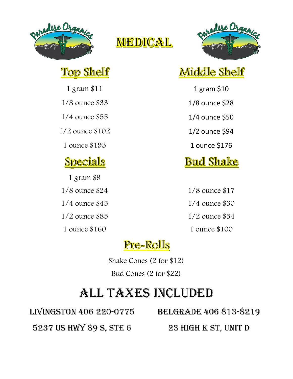

<u>Top Shelf</u>

**Specials** 

1 gram \$9

## MEDICAL



# Middle Shelf

1 gram \$11 1 and \$10

1/8 ounce \$33 1/8 ounce \$28

1/4 ounce \$55 1/4 ounce \$50

1/2 ounce \$102 1/2 ounce \$94

1 ounce \$193 1 ounce \$176

# **Bud Shake**

1/8 ounce \$24 1/8 ounce \$17 1/4 ounce \$45 1/4 ounce \$30 1/2 ounce \$85 1/2 ounce \$54 1 ounce \$160 1 ounce \$100

## <u>Pre-Rolls</u>

Shake Cones (2 for \$12) Bud Cones (2 for \$22)

# All taxes included

Livingston 406 220-0775 Belgrade 406 813-8219

5237 US HWY 89 S, STE 6 23 HIGH K ST, UNIT D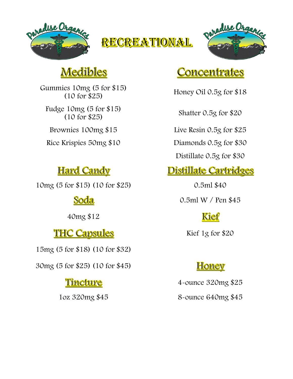





## **Medibles**

Gummies 10mg (5 for \$15) (10 for \$25)

Fudge 10mg (5 for \$15) (10 for \$25)

### **Hard Candy**

10mg (5 for \$15) (10 for \$25) 0.5ml \$40

Soda

40mg \$12

### THC Capsules Kief 1g for \$20

15mg (5 for \$18) (10 for \$32)

30mg (5 for \$25) (10 for \$45)

### **Tincture**

## <u>Concentrates</u>

Honey Oil 0.5g for \$18

Shatter 0.5g for \$20

Brownies 100mg \$15 Live Resin 0.5g for \$25

Rice Krispies 50mg \$10 Diamonds 0.5g for \$30

Distillate 0.5g for \$30

## **Distillate Cartridges**

0.5ml W / Pen \$45

## <u>Kief</u>

## **Honey**

4-ounce 320mg \$25 1oz 320mg \$45 8-ounce 640mg \$45